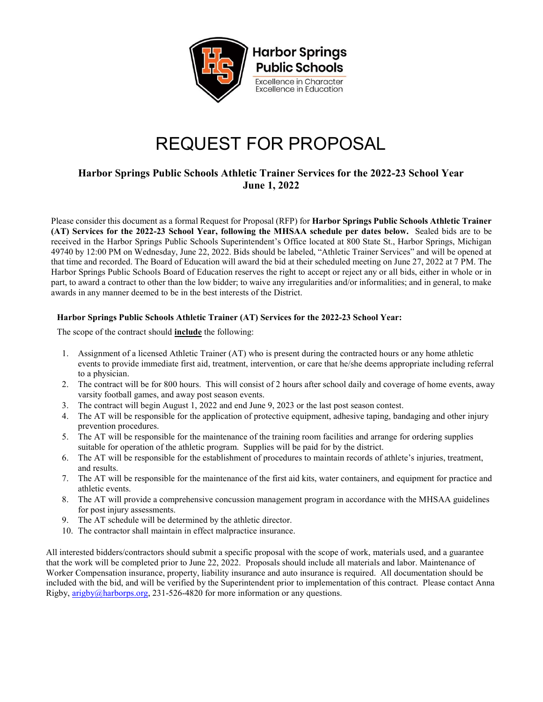

## REQUEST FOR PROPOSAL

## Harbor Springs Public Schools Athletic Trainer Services for the 2022-23 School Year June 1, 2022

Please consider this document as a formal Request for Proposal (RFP) for Harbor Springs Public Schools Athletic Trainer (AT) Services for the 2022-23 School Year, following the MHSAA schedule per dates below. Sealed bids are to be received in the Harbor Springs Public Schools Superintendent's Office located at 800 State St., Harbor Springs, Michigan 49740 by 12:00 PM on Wednesday, June 22, 2022. Bids should be labeled, "Athletic Trainer Services" and will be opened at that time and recorded. The Board of Education will award the bid at their scheduled meeting on June 27, 2022 at 7 PM. The Harbor Springs Public Schools Board of Education reserves the right to accept or reject any or all bids, either in whole or in part, to award a contract to other than the low bidder; to waive any irregularities and/or informalities; and in general, to make awards in any manner deemed to be in the best interests of the District.

## Harbor Springs Public Schools Athletic Trainer (AT) Services for the 2022-23 School Year:

The scope of the contract should include the following:

- 1. Assignment of a licensed Athletic Trainer (AT) who is present during the contracted hours or any home athletic events to provide immediate first aid, treatment, intervention, or care that he/she deems appropriate including referral to a physician.
- 2. The contract will be for 800 hours. This will consist of 2 hours after school daily and coverage of home events, away varsity football games, and away post season events.
- 3. The contract will begin August 1, 2022 and end June 9, 2023 or the last post season contest.
- 4. The AT will be responsible for the application of protective equipment, adhesive taping, bandaging and other injury prevention procedures.
- 5. The AT will be responsible for the maintenance of the training room facilities and arrange for ordering supplies suitable for operation of the athletic program. Supplies will be paid for by the district.
- 6. The AT will be responsible for the establishment of procedures to maintain records of athlete's injuries, treatment, and results.
- 7. The AT will be responsible for the maintenance of the first aid kits, water containers, and equipment for practice and athletic events.
- 8. The AT will provide a comprehensive concussion management program in accordance with the MHSAA guidelines for post injury assessments.
- 9. The AT schedule will be determined by the athletic director.
- 10. The contractor shall maintain in effect malpractice insurance.

All interested bidders/contractors should submit a specific proposal with the scope of work, materials used, and a guarantee that the work will be completed prior to June 22, 2022. Proposals should include all materials and labor. Maintenance of Worker Compensation insurance, property, liability insurance and auto insurance is required. All documentation should be included with the bid, and will be verified by the Superintendent prior to implementation of this contract. Please contact Anna Rigby,  $\frac{\text{arigby}(a) \text{harborps.org}}{\text{ariborps.org}}$ , 231-526-4820 for more information or any questions.